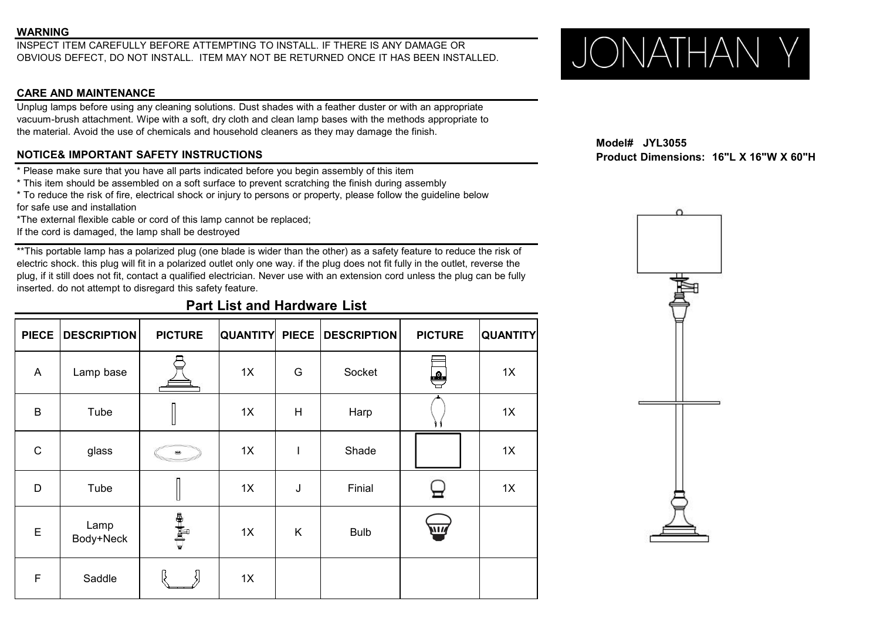### **WARNING**

INSPECT ITEM CAREFULLY BEFORE ATTEMPTING TO INSTALL. IF THERE IS ANY DAMAGE OR<br>OBVIOUS DEFECT, DO NOT INSTALL. ITEM MAY NOT BE RETURNED ONCE IT HAS BEEN INSTALLED.  $\bigcup_{\text{max of } \mathcal{M}} \bigcap_{\mathcal{M}} \bigcap_{\mathcal{M}} \bigcap_{\mathcal{M}} \bigcap_{\mathcal{M}} \$ OBVIOUS DEFECT, DO NOT INSTALL. ITEM MAY NOT BE RETURNED ONCE ITHAS BEEN INSTALLED.

# **CARE AND MAINTENANCE**

Unplug lamps before using any cleaning solutions. Dust shades with a feather duster or with an appropriate vacuum-brush attachment. Wipe with a soft, dry cloth and clean lamp bases with the methods appropriate to the material. Avoid the use of chemicals and household cleaners as they may damage the finish.

# **NOTICE& IMPORTANT SAFETY INSTRUCTIONS Product Dimensions: 16"L X 16"W X 60"H**

\* Please make sure that you have all parts indicated before you begin assembly ofthis item

\* This item should be assembled on a soft surface to prevent scratching the finish during assembly

\* To reduce the risk of fire, electrical shock or injury to persons or property, please follow the guideline below for safe use and installation

\*The external flexible cable or cord of this lamp cannot be replaced;

If the cord is damaged, the lamp shall be destroyed

\*\*This portable lamp has a polarized plug (one blade is wider than the other) as a safety feature to reduce the risk of electric shock. this plug will fit in a polarized outlet only one way. if the plug does not fit fully in the outlet, reverse the plug, if it still does not fit, contact a qualified electrician. Never use with an extension cord unless the plug can be fully inserted. do not attempt to disregard this safety feature.

# **Part List and Hardware List**

|                | PIECE   DESCRIPTION | <b>PICTURE</b>                                                          | <b>QUANTITY PIECE</b> |              | <b>DESCRIPTION</b> | <b>PICTURE</b> | <b>QUANTITY</b> |
|----------------|---------------------|-------------------------------------------------------------------------|-----------------------|--------------|--------------------|----------------|-----------------|
| $\overline{A}$ | Lamp base           | <b>₽</b>                                                                | 1X                    | G            | Socket             | ₩              | 1X              |
| $\mathsf B$    | Tube                |                                                                         | 1X                    | H            | Harp               |                | 1X              |
| $\mathbf C$    | glass               | $\qquad \qquad \bullet$                                                 | 1X                    | $\mathsf{I}$ | Shade              |                | 1X              |
| D              | Tube                | U                                                                       | 1X                    | J            | Finial             |                | 1X              |
| $\mathsf E$    | Lamp<br>Body+Neck   | $\begin{array}{c}\n\mathbf{e} \\ \mathbf{e} \\ \mathbf{e}\n\end{array}$ | 1X                    | K            | <b>Bulb</b>        | ЛÑ             |                 |
| $\mathsf F$    | Saddle              |                                                                         | 1X                    |              |                    |                |                 |

**Model# JYL3055**